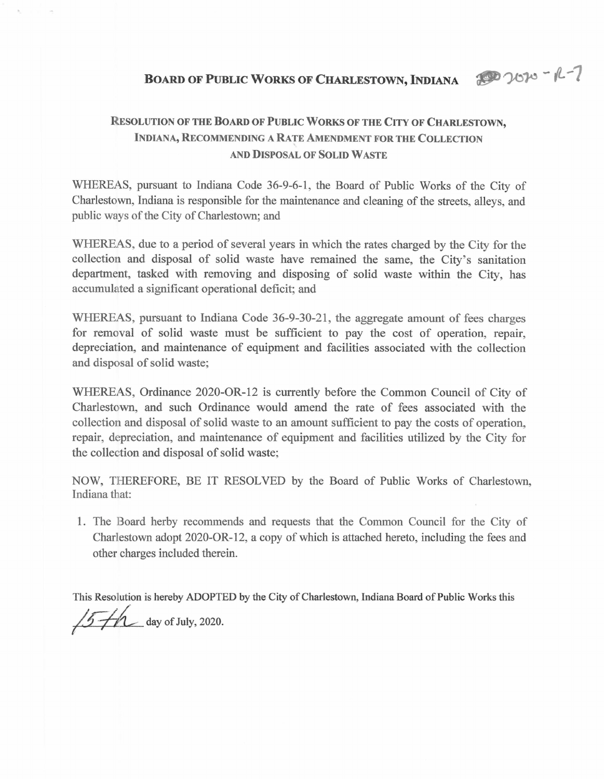20020-R-7

## **Resolution of the Board of Public Works of the City of Charlestown, Indiana, Recommending a Rate Amendment for the Collection AND Disposal of Solid Waste**

WHEREAS, pursuant to Indiana Code 36-9-6-1, the Board of Public Works of the City of Charlestown, Indiana is responsible for the maintenance and cleaning of the streets, alleys, and public ways of the City of Charlestown; and

WHEREAS, due to a period of several years in which the rates charged by the City for the collection and disposal of solid waste have remained the same, the City's sanitation department, tasked with removing and disposing of solid waste within the City, has accumulated a significant operational deficit; and

WHEREAS, pursuant to Indiana Code 36-9-30-21, the aggregate amount of fees charges for removal of solid waste must be sufficient to pay the cost of operation, repair, depreciation, and maintenance of equipment and facilities associated with the collection and disposal of solid waste;

WHEREAS, Ordinance 2020-OR-12 is currently before the Common Council of City of Charlestown, and such Ordinance would amend the rate of fees associated with the collection and disposal of solid waste to an amount sufficient to pay the costs of operation, repair, depreciation, and maintenance of equipment and facilities utilized by the City for the collection and disposal of solid waste;

NOW, THEREFORE, BE IT RESOLVED by the Board of Public Works of Charlestown, Indiana that:

1. The Board herby recommends and requests that the Common Council for the City of Charlestown adopt 2020-OR-12, a copy of which is attached hereto, including the fees and other charges included therein.

This Resolution is hereby ADOPTED by the City of Charlestown, Indiana Board of Public Works this  $/5$   $\not\vdash$  day of July, 2020.